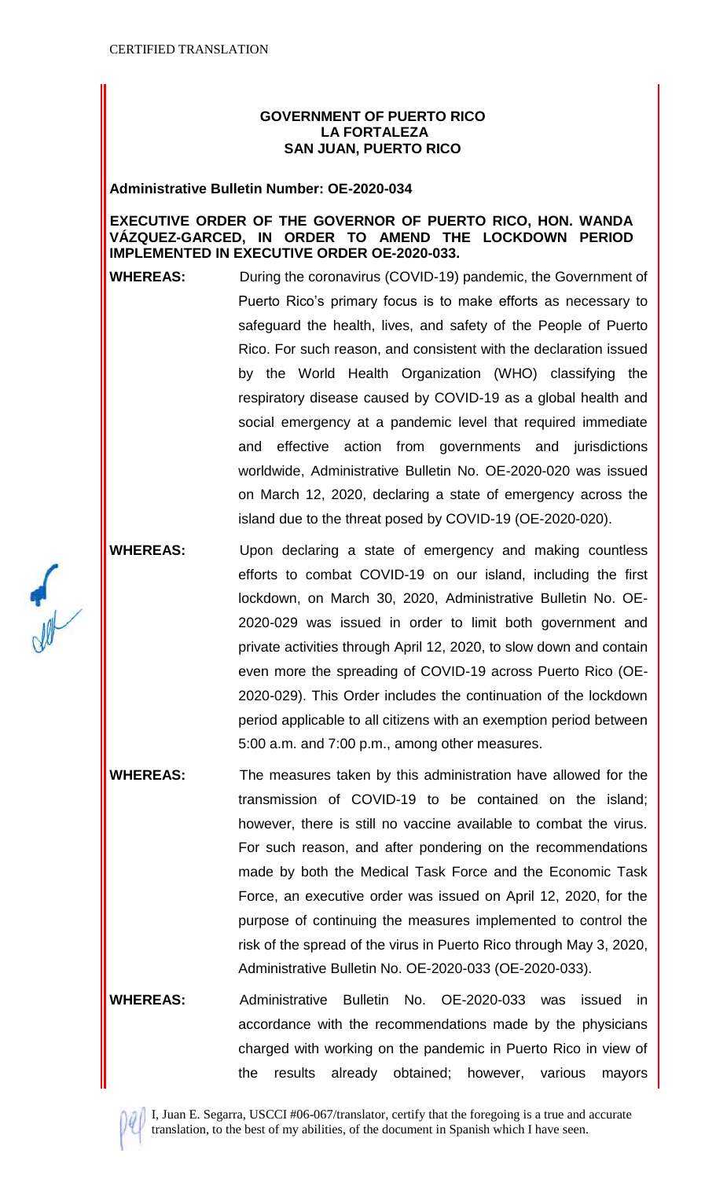## **GOVERNMENT OF PUERTO RICO LA FORTALEZA SAN JUAN, PUERTO RICO**

## **Administrative Bulletin Number: OE-2020-034**

## **EXECUTIVE ORDER OF THE GOVERNOR OF PUERTO RICO, HON. WANDA VÁZQUEZ-GARCED, IN ORDER TO AMEND THE LOCKDOWN PERIOD IMPLEMENTED IN EXECUTIVE ORDER OE-2020-033.**

**WHEREAS:** During the coronavirus (COVID-19) pandemic, the Government of Puerto Rico's primary focus is to make efforts as necessary to safeguard the health, lives, and safety of the People of Puerto Rico. For such reason, and consistent with the declaration issued by the World Health Organization (WHO) classifying the respiratory disease caused by COVID-19 as a global health and social emergency at a pandemic level that required immediate and effective action from governments and jurisdictions worldwide, Administrative Bulletin No. OE-2020-020 was issued on March 12, 2020, declaring a state of emergency across the island due to the threat posed by COVID-19 (OE-2020-020).

**WHEREAS:** Upon declaring a state of emergency and making countless efforts to combat COVID-19 on our island, including the first lockdown, on March 30, 2020, Administrative Bulletin No. OE-2020-029 was issued in order to limit both government and private activities through April 12, 2020, to slow down and contain even more the spreading of COVID-19 across Puerto Rico (OE-2020-029). This Order includes the continuation of the lockdown period applicable to all citizens with an exemption period between 5:00 a.m. and 7:00 p.m., among other measures.

**WHEREAS:** The measures taken by this administration have allowed for the transmission of COVID-19 to be contained on the island; however, there is still no vaccine available to combat the virus. For such reason, and after pondering on the recommendations made by both the Medical Task Force and the Economic Task Force, an executive order was issued on April 12, 2020, for the purpose of continuing the measures implemented to control the risk of the spread of the virus in Puerto Rico through May 3, 2020, Administrative Bulletin No. OE-2020-033 (OE-2020-033).

**WHEREAS:** Administrative Bulletin No. OE-2020-033 was issued in accordance with the recommendations made by the physicians charged with working on the pandemic in Puerto Rico in view of the results already obtained; however, various mayors

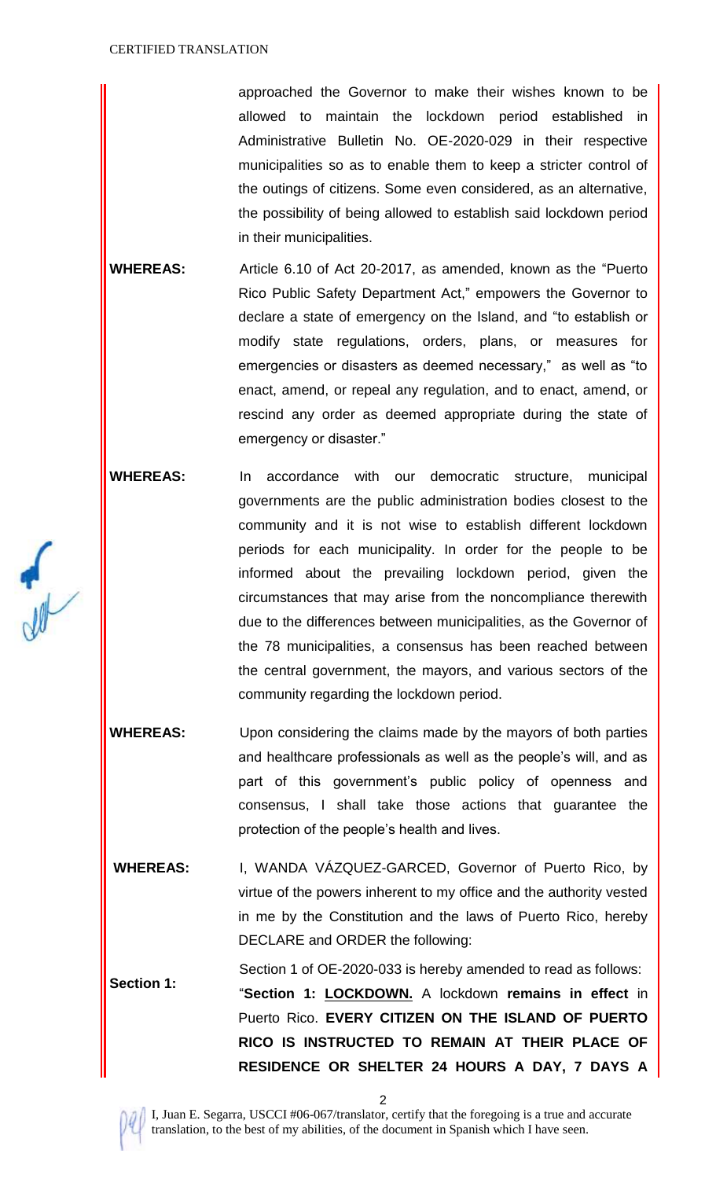approached the Governor to make their wishes known to be allowed to maintain the lockdown period established in Administrative Bulletin No. OE-2020-029 in their respective municipalities so as to enable them to keep a stricter control of the outings of citizens. Some even considered, as an alternative, the possibility of being allowed to establish said lockdown period in their municipalities.

**WHEREAS:** Article 6.10 of Act 20-2017, as amended, known as the "Puerto Rico Public Safety Department Act," empowers the Governor to declare a state of emergency on the Island, and "to establish or modify state regulations, orders, plans, or measures for emergencies or disasters as deemed necessary," as well as "to enact, amend, or repeal any regulation, and to enact, amend, or rescind any order as deemed appropriate during the state of emergency or disaster."

**WHEREAS:** In accordance with our democratic structure, municipal governments are the public administration bodies closest to the community and it is not wise to establish different lockdown periods for each municipality. In order for the people to be informed about the prevailing lockdown period, given the circumstances that may arise from the noncompliance therewith due to the differences between municipalities, as the Governor of the 78 municipalities, a consensus has been reached between the central government, the mayors, and various sectors of the community regarding the lockdown period.

**WHEREAS:** Upon considering the claims made by the mayors of both parties and healthcare professionals as well as the people's will, and as part of this government's public policy of openness and consensus, I shall take those actions that guarantee the protection of the people's health and lives.

**WHEREAS:** I, WANDA VÁZQUEZ-GARCED, Governor of Puerto Rico, by virtue of the powers inherent to my office and the authority vested in me by the Constitution and the laws of Puerto Rico, hereby DECLARE and ORDER the following:

**Section 1:** Section 1 of OE-2020-033 is hereby amended to read as follows: "**Section 1: LOCKDOWN.** A lockdown **remains in effect** in Puerto Rico. **EVERY CITIZEN ON THE ISLAND OF PUERTO RICO IS INSTRUCTED TO REMAIN AT THEIR PLACE OF RESIDENCE OR SHELTER 24 HOURS A DAY, 7 DAYS A** 



2

I, Juan E. Segarra, USCCI #06-067/translator, certify that the foregoing is a true and accurate translation, to the best of my abilities, of the document in Spanish which I have seen.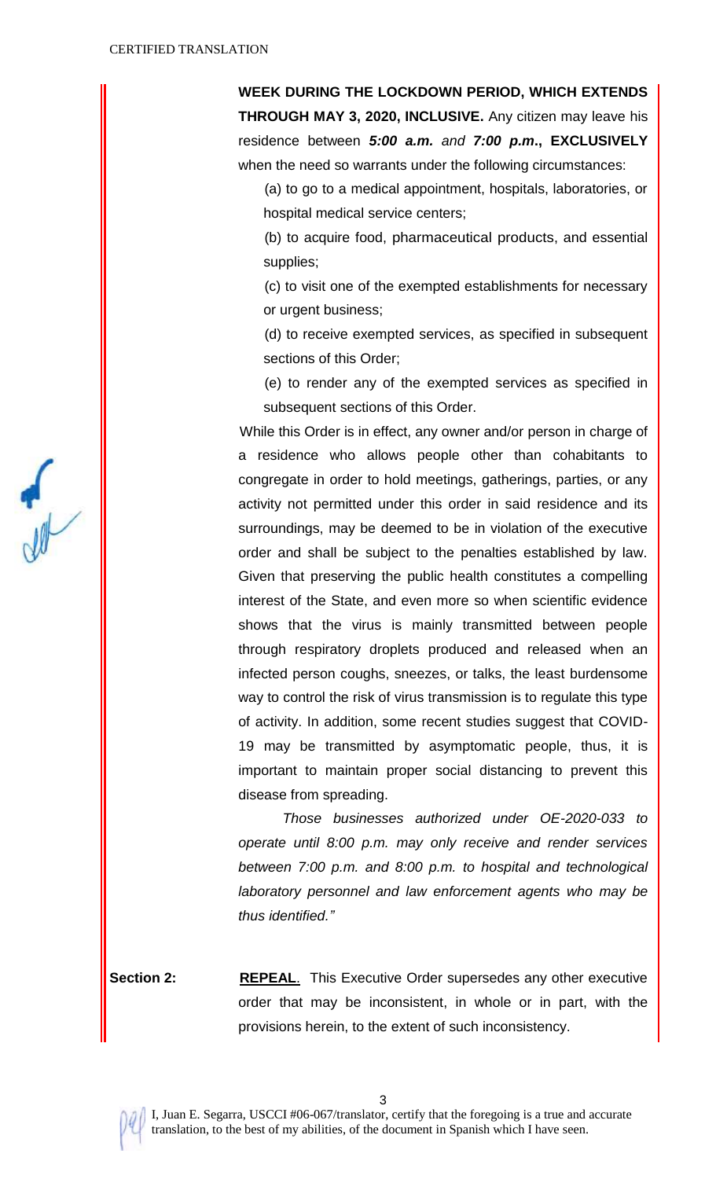**WEEK DURING THE LOCKDOWN PERIOD, WHICH EXTENDS THROUGH MAY 3, 2020, INCLUSIVE.** Any citizen may leave his residence between *5:00 a.m. and 7:00 p.m***., EXCLUSIVELY** when the need so warrants under the following circumstances:

(a) to go to a medical appointment, hospitals, laboratories, or hospital medical service centers;

(b) to acquire food, pharmaceutical products, and essential supplies;

(c) to visit one of the exempted establishments for necessary or urgent business;

(d) to receive exempted services, as specified in subsequent sections of this Order;

(e) to render any of the exempted services as specified in subsequent sections of this Order.

While this Order is in effect, any owner and/or person in charge of a residence who allows people other than cohabitants to congregate in order to hold meetings, gatherings, parties, or any activity not permitted under this order in said residence and its surroundings, may be deemed to be in violation of the executive order and shall be subject to the penalties established by law. Given that preserving the public health constitutes a compelling interest of the State, and even more so when scientific evidence shows that the virus is mainly transmitted between people through respiratory droplets produced and released when an infected person coughs, sneezes, or talks, the least burdensome way to control the risk of virus transmission is to regulate this type of activity. In addition, some recent studies suggest that COVID-19 may be transmitted by asymptomatic people, thus, it is important to maintain proper social distancing to prevent this disease from spreading.

 *Those businesses authorized under OE-2020-033 to operate until 8:00 p.m. may only receive and render services between 7:00 p.m. and 8:00 p.m. to hospital and technological laboratory personnel and law enforcement agents who may be thus identified."*

**Section 2: REPEAL.** This Executive Order supersedes any other executive order that may be inconsistent, in whole or in part, with the provisions herein, to the extent of such inconsistency.



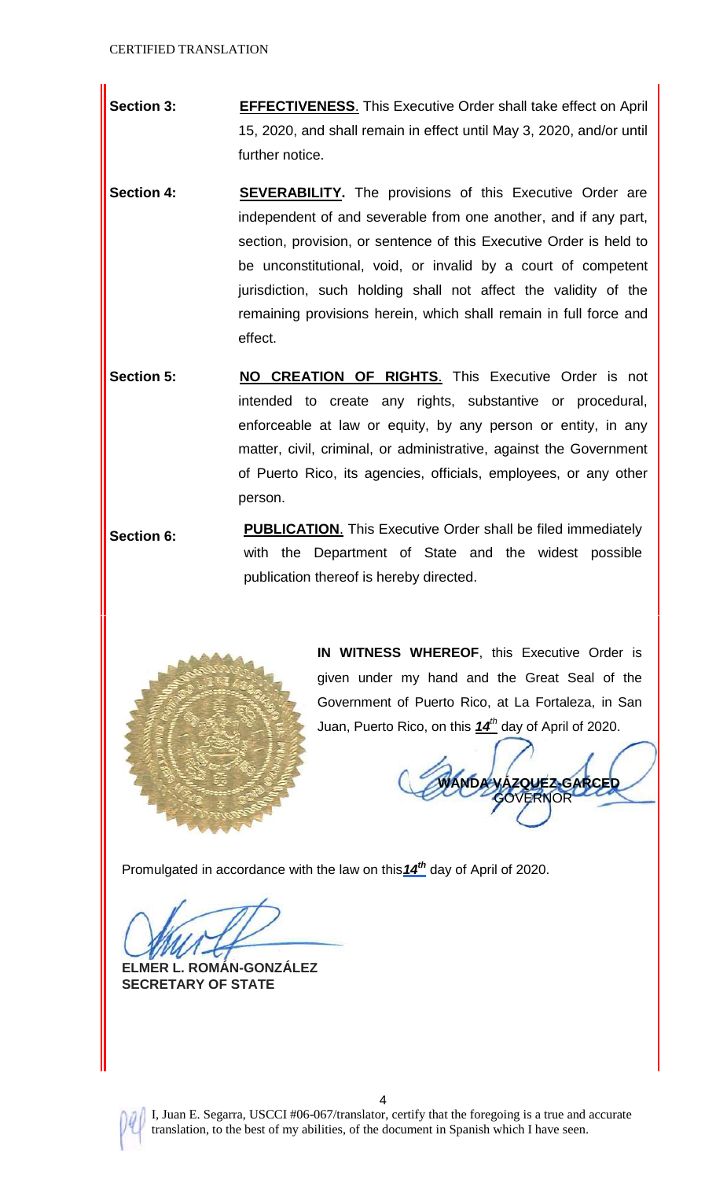- **Section 3: EFFECTIVENESS**. This Executive Order shall take effect on April 15, 2020, and shall remain in effect until May 3, 2020, and/or until further notice.
- **Section 4: SEVERABILITY.** The provisions of this Executive Order are independent of and severable from one another, and if any part, section, provision, or sentence of this Executive Order is held to be unconstitutional, void, or invalid by a court of competent jurisdiction, such holding shall not affect the validity of the remaining provisions herein, which shall remain in full force and effect.
- **Section 5: NO CREATION OF RIGHTS.** This Executive Order is not intended to create any rights, substantive or procedural, enforceable at law or equity, by any person or entity, in any matter, civil, criminal, or administrative, against the Government of Puerto Rico, its agencies, officials, employees, or any other person.
- **Section 6: PUBLICATION**. This Executive Order shall be filed immediately with the Department of State and the widest possible publication thereof is hereby directed.



**IN WITNESS WHEREOF**, this Executive Order is given under my hand and the Great Seal of the Government of Puerto Rico, at La Fortaleza, in San Juan, Puerto Rico, on this *14 th* day of April of 2020.

**ZQUEZ-GARCED JOF** 

Promulgated in accordance with the law on this  $14<sup>th</sup>$  day of April of 2020.

**ELMER L. ROMÁN-GONZÁLEZ SECRETARY OF STATE**



I, Juan E. Segarra, USCCI #06-067/translator, certify that the foregoing is a true and accurate translation, to the best of my abilities, of the document in Spanish which I have seen.